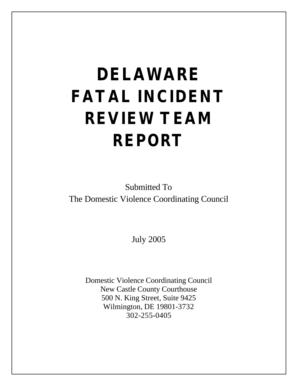# **DELAWARE FATAL INCIDENT REVIEW TEAM REPORT**

Submitted To The Domestic Violence Coordinating Council

July 2005

Domestic Violence Coordinating Council New Castle County Courthouse 500 N. King Street, Suite 9425 Wilmington, DE 19801-3732 302-255-0405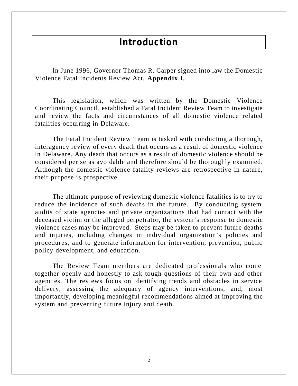### **Introduction**

In June 1996, Governor Thomas R. Carper signed into law the Domestic Violence Fatal Incidents Review Act, **Appendix I**.

This legislation, which was written by the Domestic Violence Coordinating Council, established a Fatal Incident Review Team to investigate and review the facts and circumstances of all domestic violence related fatalities occurring in Delaware.

The Fatal Incident Review Team is tasked with conducting a thorough, interagency review of every death that occurs as a result of domestic violence in Delaware. Any death that occurs as a result of domestic violence should be considered per se as avoidable and therefore should be thoroughly examined. Although the domestic violence fatality reviews are retrospective in nature, their purpose is prospective.

The ultimate purpose of reviewing domestic violence fatalities is to try to reduce the incidence of such deaths in the future. By conducting system audits of state agencies and private organizations that had contact with the deceased victim or the alleged perpetrator, the system's response to domestic violence cases may be improved. Steps may be taken to prevent future deaths and injuries, including changes in individual organization's policies and procedures, and to generate information for intervention, prevention, public policy development, and education.

The Review Team members are dedicated professionals who come together openly and honestly to ask tough questions of their own and other agencies. The reviews focus on identifying trends and obstacles in service delivery, assessing the adequacy of agency interventions, and, most importantly, developing meaningful recommendations aimed at improving the system and preventing future injury and death.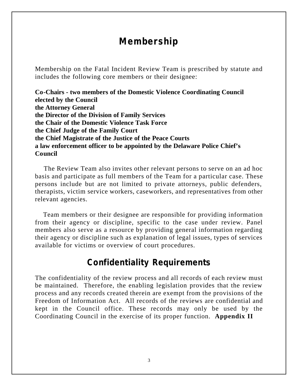# **Membership**

Membership on the Fatal Incident Review Team is prescribed by statute and includes the following core members or their designee:

**Co-Chairs - two members of the Domestic Violence Coordinating Council elected by the Council the Attorney General the Director of the Division of Family Services the Chair of the Domestic Violence Task Force the Chief Judge of the Family Court the Chief Magistrate of the Justice of the Peace Courts a law enforcement officer to be appointed by the Delaware Police Chief's Council** 

The Review Team also invites other relevant persons to serve on an ad hoc basis and participate as full members of the Team for a particular case. These persons include but are not limited to private attorneys, public defenders, therapists, victim service workers, caseworkers, and representatives from other relevant agencies.

 Team members or their designee are responsible for providing information from their agency or discipline, specific to the case under review. Panel members also serve as a resource by providing general information regarding their agency or discipline such as explanation of legal issues, types of services available for victims or overview of court procedures.

### **Confidentiality Requirements**

The confidentiality of the review process and all records of each review must be maintained. Therefore, the enabling legislation provides that the review process and any records created therein are exempt from the provisions of the Freedom of Information Act. All records of the reviews are confidential and kept in the Council office. These records may only be used by the Coordinating Council in the exercise of its proper function. **Appendix II**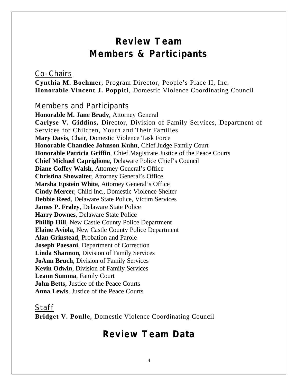# **Review Team Members & Participants**

### Co-Chairs

**Cynthia M. Boehmer***,* Program Director, People's Place II, Inc. **Honorable Vincent J. Poppiti***,* Domestic Violence Coordinating Council

### Members and Participants

**Honorable M. Jane Brady**, Attorney General **Carlyse V. Giddins,** Director, Division of Family Services, Department of Services for Children, Youth and Their Families **Mary Davis***,* Chair, Domestic Violence Task Force **Honorable Chandlee Johnson Kuhn***,* Chief Judge Family Court **Honorable Patricia Griffin***,* Chief Magistrate Justice of the Peace Courts **Chief Michael Capriglione**, Delaware Police Chief's Council **Diane Coffey Walsh**, Attorney General's Office **Christina Showalter**, Attorney General's Office **Marsha Epstein White**, Attorney General's Office **Cindy Mercer**, Child Inc., Domestic Violence Shelter **Debbie Reed**, Delaware State Police, Victim Services **James P. Fraley**, Delaware State Police **Harry Downes**, Delaware State Police **Phillip Hill, New Castle County Police Department Elaine Aviola**, New Castle County Police Department **Alan Grinstead**, Probation and Parole **Joseph Paesani***,* Department of Correction **Linda Shannon**, Division of Family Services **JoAnn Bruch**, Division of Family Services **Kevin Odwin**, Division of Family Services **Leann Summa**, Family Court **John Betts,** Justice of the Peace Courts **Anna Lewis**, Justice of the Peace Courts

### Staff

**Bridget V. Poulle**, Domestic Violence Coordinating Council

### **Review Team Data**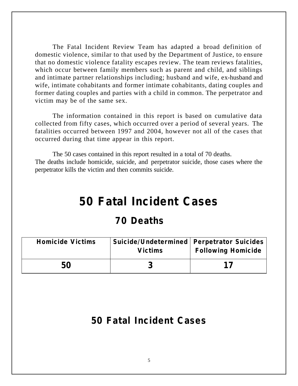The Fatal Incident Review Team has adapted a broad definition of domestic violence, similar to that used by the Department of Justice, to ensure that no domestic violence fatality escapes review. The team reviews fatalities, which occur between family members such as parent and child, and siblings and intimate partner relationships including; husband and wife, ex-husband and wife, intimate cohabitants and former intimate cohabitants, dating couples and former dating couples and parties with a child in common. The perpetrator and victim may be of the same sex.

The information contained in this report is based on cumulative data collected from fifty cases, which occurred over a period of several years. The fatalities occurred between 1997 and 2004, however not all of the cases that occurred during that time appear in this report.

The 50 cases contained in this report resulted in a total of 70 deaths. The deaths include homicide, suicide, and perpetrator suicide, those cases where the perpetrator kills the victim and then commits suicide.

# **50 Fatal Incident Cases**

# **70 Deaths**

| <b>Homicide Victims</b> | <b>Suicide/Undetermined   Perpetrator Suicides</b><br><b>Victims</b> | <b>Following Homicide</b> |
|-------------------------|----------------------------------------------------------------------|---------------------------|
| 50                      |                                                                      | 17                        |

# **50 Fatal Incident Cases**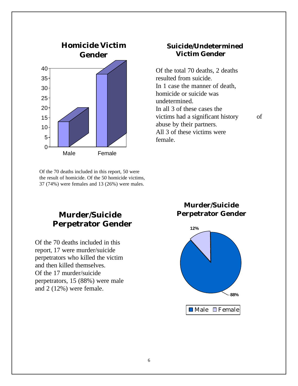

 Of the 70 deaths included in this report, 50 were the result of homicide. Of the 50 homicide victims, 37 (74%) were females and 13 (26%) were males.

### **Suicide/Undetermined Victim Gender**

Of the total 70 deaths, 2 deaths resulted from suicide. In 1 case the manner of death, homicide or suicide was undetermined. In all 3 of these cases the victims had a significant history of abuse by their partners. All 3 of these victims were female.

### **Murder/Suicide Perpetrator Gender**

Of the 70 deaths included in this report, 17 were murder/suicide perpetrators who killed the victim and then killed themselves. Of the 17 murder/suicide perpetrators, 15 (88%) were male and 2 (12%) were female.

### **Murder/Suicide Perpetrator Gender**

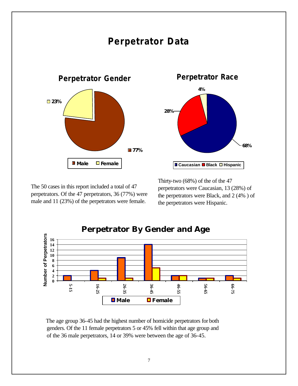

The 50 cases in this report included a total of 47 perpetrators. Of the 47 perpetrators, 36 (77%) were male and 11 (23%) of the perpetrators were female.

Thirty-two (68%) of the of the 47 perpetrators were Caucasian, 13 (28%) of the perpetrators were Black, and 2 (4% ) of the perpetrators were Hispanic.



 The age group 36-45 had the highest number of homicide perpetrators for both genders. Of the 11 female perpetrators 5 or 45% fell within that age group and of the 36 male perpetrators, 14 or 39% were between the age of 36-45.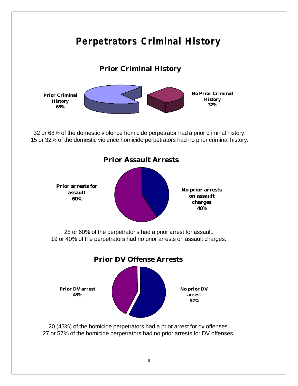# **Perpetrators Criminal History Prior Criminal History No Prior Criminal History 32% Prior Criminal History 68%** 32 or 68% of the domestic violence homicide perpetrator had a prior criminal history. 15 or 32% of the domestic violence homicide perpetrators had no prior criminal history. **Prior Assault Arrests No prior arrests on assault charges 40% Prior arrests for assault 60%** 28 or 60% of the perpetrator's had a prior arrest for assault. 19 or 40% of the perpetrators had no prior arrests on assault charges. **Prior DV Offense Arrests No prior DV arrest 57% Prior DV arrest 43%** 20 (43%) of the homicide perpetrators had a prior arrest for dv offenses.

27 or 57% of the homicide perpetrators had no prior arrests for DV offenses.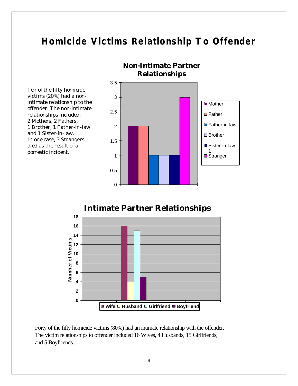# **Homicide Victims Relationship To Offender**





Forty of the fifty homicide victims (80%) had an intimate relationship with the offender. The victim relationships to offender included 16 Wives, 4 Husbands, 15 Girlfriends, and 5 Boyfriends.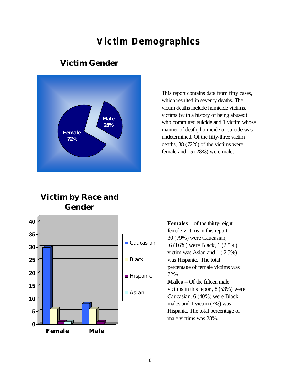# **Victim Demographics**

### **Victim Gender**



This report contains data from fifty cases, which resulted in seventy deaths. The victim deaths include homicide victims, victims (with a history of being abused) who committed suicide and 1 victim whose manner of death, homicide or suicide was undetermined. Of the fifty-three victim deaths, 38 (72%) of the victims were female and 15 (28%) were male.

### **Victim by Race and Gender**



**Females** – of the thirty- eight female victims in this report, 30 (79%) were Caucasian, 6 (16%) were Black, 1 (2.5%) victim was Asian and 1 (.2.5%) was Hispanic. The total percentage of female victims was 72%. **Males** – Of the fifteen male victims in this report, 8 (53%) were Caucasian, 6 (40%) were Black

males and 1 victim (7%) was Hispanic. The total percentage of male victims was 28%.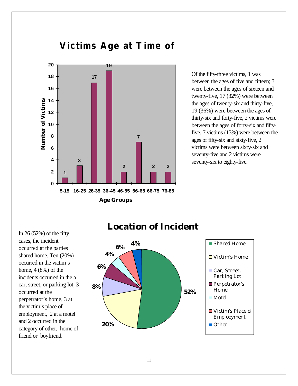

Of the fifty-three victims, 1 was between the ages of five and fifteen; 3 were between the ages of sixteen and twenty-five, 17 (32%) were between the ages of twenty-six and thirty-five, 19 (36%) were between the ages of thirty-six and forty-five, 2 victims were between the ages of forty-six and fiftyfive, 7 victims (13%) were between the ages of fifty-six and sixty-five, 2 victims were between sixty-six and seventy-five and 2 victims were seventy-six to eighty-five.

In  $26(52%)$  of the fifty cases, the incident occurred at the parties shared home. Ten (20%) occurred in the victim's home, 4 (8%) of the incidents occurred in the a car, street, or parking lot, 3 occurred at the perpetrator's home, 3 at the victim's place of employment, 2 at a motel and 2 occurred in the category of other, home of friend or boyfriend.

# **Location of Incident**

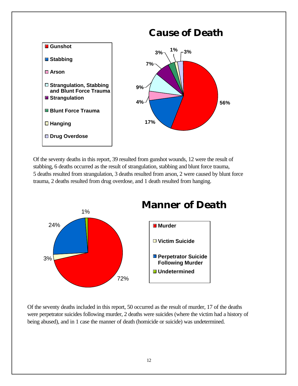

Of the seventy deaths in this report, 39 resulted from gunshot wounds, 12 were the result of stabbing, 6 deaths occurred as the result of strangulation, stabbing and blunt force trauma, 5 deaths resulted from strangulation, 3 deaths resulted from arson, 2 were caused by blunt force trauma, 2 deaths resulted from drug overdose, and 1 death resulted from hanging.



Of the seventy deaths included in this report, 50 occurred as the result of murder, 17 of the deaths were perpetrator suicides following murder, 2 deaths were suicides (where the victim had a history of being abused), and in 1 case the manner of death (homicide or suicide) was undetermined.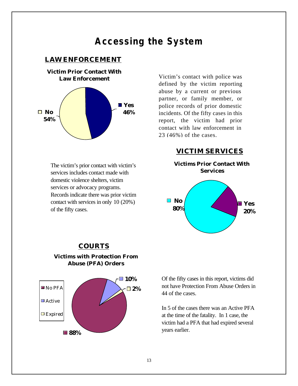# **Accessing the System**

#### **LAW ENFORCEMENT**



The victim's prior contact with victim's services includes contact made with domestic violence shelters, victim services or advocacy programs. Records indicate there was prior victim contact with services in only 10 (20%) of the fifty cases.

Victim's contact with police was defined by the victim reporting abuse by a current or previous partner, or family member, or police records of prior domestic incidents. Of the fifty cases in this report, the victim had prior contact with law enforcement in 23 (46%) of the cases.

#### **VICTIM SERVICES**



#### **COURTS**



#### **Victims with Protection From Abuse (PFA) Orders**

Of the fifty cases in this report, victims did not have Protection From Abuse Orders in 44 of the cases.

In 5 of the cases there was an Active PFA at the time of the fatality. In 1 case, the victim had a PFA that had expired several years earlier.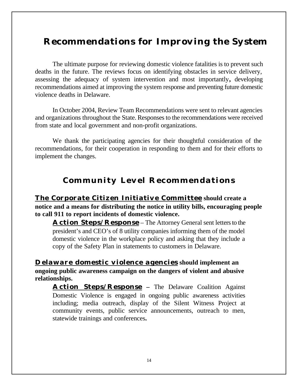# **Recommendations for Improving the System**

The ultimate purpose for reviewing domestic violence fatalities is to prevent such deaths in the future. The reviews focus on identifying obstacles in service delivery, assessing the adequacy of system intervention and most importantly**,** developing recommendations aimed at improving the system response and preventing future domestic violence deaths in Delaware.

In October 2004, Review Team Recommendations were sent to relevant agencies and organizations throughout the State. Responses to the recommendations were received from state and local government and non-profit organizations.

We thank the participating agencies for their thoughtful consideration of the recommendations, for their cooperation in responding to them and for their efforts to implement the changes.

### **Community Level Recommendations**

**The Corporate Citizen Initiative Committee should create a notice and a means for distributing the notice in utility bills, encouraging people to call 911 to report incidents of domestic violence.**

**Action Steps/Response** – The Attorney General sent letters to the president's and CEO's of 8 utility companies informing them of the model domestic violence in the workplace policy and asking that they include a copy of the Safety Plan in statements to customers in Delaware.

**Delaware domestic violence agencies should implement an ongoing public awareness campaign on the dangers of violent and abusive relationships.**

**Action Steps/Response –** The Delaware Coalition Against Domestic Violence is engaged in ongoing public awareness activities including; media outreach, display of the Silent Witness Project at community events, public service announcements, outreach to men, statewide trainings and conferences**.**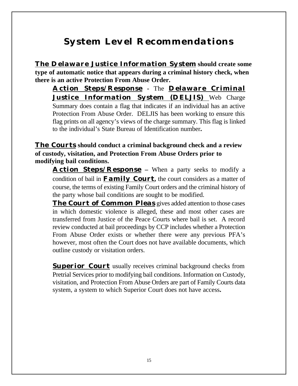# **System Level Recommendations**

**The Delaware Justice Information System should create some type of automatic notice that appears during a criminal history check, when there is an active Protection From Abuse Order.**

**Action Steps/Response -** The **Delaware Criminal Justice Information System (DELJIS)** Web Charge Summary does contain a flag that indicates if an individual has an active Protection From Abuse Order. DELJIS has been working to ensure this flag prints on all agency's views of the charge summary. This flag is linked to the individual's State Bureau of Identification number**.** 

**The Courts should conduct a criminal background check and a review of custody, visitation, and Protection From Abuse Orders prior to modifying bail conditions.**

**Action Steps/Response –** When a party seeks to modify a condition of bail in **Family Court,** the court considers as a matter of course, the terms of existing Family Court orders and the criminal history of the party whose bail conditions are sought to be modified.

**The Court of Common Pleas** gives added attention to those cases in which domestic violence is alleged, these and most other cases are transferred from Justice of the Peace Courts where bail is set. A record review conducted at bail proceedings by CCP includes whether a Protection From Abuse Order exists or whether there were any previous PFA's however, most often the Court does not have available documents, which outline custody or visitation orders.

**Superior Court** usually receives criminal background checks from Pretrial Services prior to modifying bail conditions. Information on Custody, visitation, and Protection From Abuse Orders are part of Family Courts data system, a system to which Superior Court does not have access**.**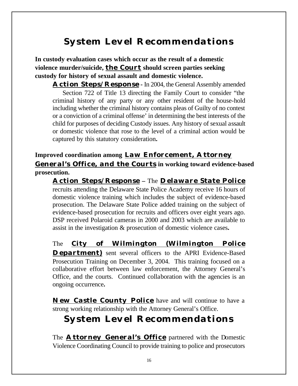# **System Level Recommendations**

**In custody evaluation cases which occur as the result of a domestic violence murder/suicide, the Court should screen parties seeking custody for history of sexual assault and domestic violence.**

**Action Steps/Response -** In 2004, the General Assembly amended Section 722 of Title 13 directing the Family Court to consider "the criminal history of any party or any other resident of the house-hold including whether the criminal history contains pleas of Guilty of no contest or a conviction of a criminal offense' in determining the best interests of the child for purposes of deciding Custody issues. Any history of sexual assault or domestic violence that rose to the level of a criminal action would be captured by this statutory consideration**.**

**Improved coordination among Law Enforcement, Attorney General's Office, and the Courts in working toward evidence-based prosecution.**

**Action Steps/Response –** The **Delaware State Police** recruits attending the Delaware State Police Academy receive 16 hours of domestic violence training which includes the subject of evidence-based prosecution. The Delaware State Police added training on the subject of evidence-based prosecution for recruits and officers over eight years ago. DSP received Polaroid cameras in 2000 and 2003 which are available to assist in the investigation & prosecution of domestic violence cases**.** 

The **City of Wilmington (Wilmington Police Department**) sent several officers to the APRI Evidence-Based Prosecution Training on December 3, 2004. This training focused on a collaborative effort between law enforcement, the Attorney General's Office, and the courts. Continued collaboration with the agencies is an ongoing occurrence**.**

**New Castle County Police** have and will continue to have a strong working relationship with the Attorney General's Office.

# **System Level Recommendations**

The **Attorney General's Office** partnered with the Domestic Violence Coordinating Council to provide training to police and prosecutors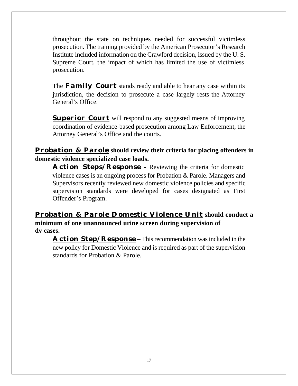throughout the state on techniques needed for successful victimless prosecution. The training provided by the American Prosecutor's Research Institute included information on the Crawford decision, issued by the U. S. Supreme Court, the impact of which has limited the use of victimless prosecution.

The **Family Court** stands ready and able to hear any case within its jurisdiction, the decision to prosecute a case largely rests the Attorney General's Office.

**Superior Court** will respond to any suggested means of improving coordination of evidence-based prosecution among Law Enforcement, the Attorney General's Office and the courts.

### **Probation & Parole should review their criteria for placing offenders in domestic violence specialized case loads.**

**Action Steps/Response -** Reviewing the criteria for domestic violence cases is an ongoing process for Probation & Parole. Managers and Supervisors recently reviewed new domestic violence policies and specific supervision standards were developed for cases designated as First Offender's Program.

### **Probation & Parole Domestic Violence Unit should conduct a minimum of one unannounced urine screen during supervision of dv cases.**

**Action Step/Response –** This recommendation was included in the new policy for Domestic Violence and is required as part of the supervision standards for Probation & Parole.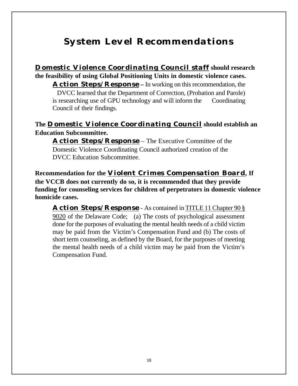# **System Level Recommendations**

**Domestic Violence Coordinating Council staff should research the feasibility of using Global Positioning Units in domestic violence cases.**

**Action Steps/Response –** In working on this recommendation, the DVCC learned that the Department of Correction, (Probation and Parole) is researching use of GPU technology and will inform the Coordinating Council of their findings.

### **The Domestic Violence Coordinating Council should establish an Education Subcommittee.**

**Action Steps/Response** – The Executive Committee of the Domestic Violence Coordinating Council authorized creation of the DVCC Education Subcommittee.

**Recommendation for the Violent Crimes Compensation Board, If the VCCB does not currently do so, it is recommended that they provide funding for counseling services for children of perpetrators in domestic violence homicide cases.**

**Action Steps/Response** - As contained in TITLE 11 Chapter 90 § 9020 of the Delaware Code; (a) The costs of psychological assessment done for the purposes of evaluating the mental health needs of a child victim may be paid from the Victim's Compensation Fund and (b) The costs of short term counseling, as defined by the Board, for the purposes of meeting the mental health needs of a child victim may be paid from the Victim's Compensation Fund.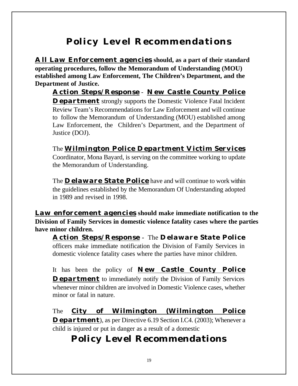# **Policy Level Recommendations**

**All Law Enforcement agencies should, as a part of their standard operating procedures, follow the Memorandum of Understanding (MOU) established among Law Enforcement, The Children's Department, and the Department of Justice.**

**Action Steps/Response** *-* **New Castle County Police Department** strongly supports the Domestic Violence Fatal Incident Review Team's Recommendations for Law Enforcement and will continue to follow the Memorandum of Understanding (MOU) established among Law Enforcement, the Children's Department, and the Department of Justice (DOJ).

The **Wilmington Police Department Victim Services** Coordinator, Mona Bayard, is serving on the committee working to update the Memorandum of Understanding.

The **Delaware State Police** have and will continue to work within the guidelines established by the Memorandum Of Understanding adopted in 1989 and revised in 1998.

**Law enforcement agencies should make immediate notification to the Division of Family Services in domestic violence fatality cases where the parties have minor children.**

**Action Steps/Response** *-* The **Delaware State Police** officers make immediate notification the Division of Family Services in domestic violence fatality cases where the parties have minor children.

It has been the policy of **New Castle County Police Department** to immediately notify the Division of Family Services whenever minor children are involved in Domestic Violence cases, whether minor or fatal in nature.

The **City of Wilmington (Wilmington Police Department**), as per Directive 6.19 Section I.C4. (2003); Whenever a child is injured or put in danger as a result of a domestic

# **Policy Level Recommendations**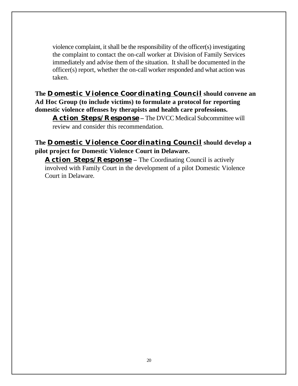violence complaint, it shall be the responsibility of the officer(s) investigating the complaint to contact the on-call worker at Division of Family Services immediately and advise them of the situation. It shall be documented in the officer(s) report, whether the on-call worker responded and what action was taken.

**The Domestic Violence Coordinating Council should convene an Ad Hoc Group (to include victims) to formulate a protocol for reporting domestic violence offenses by therapists and health care professions.**

**Action Steps/Response –** The DVCC Medical Subcommittee will review and consider this recommendation.

### **The Domestic Violence Coordinating Council should develop a pilot project for Domestic Violence Court in Delaware***.*

**Action Steps/Response –** The Coordinating Council is actively involved with Family Court in the development of a pilot Domestic Violence Court in Delaware*.*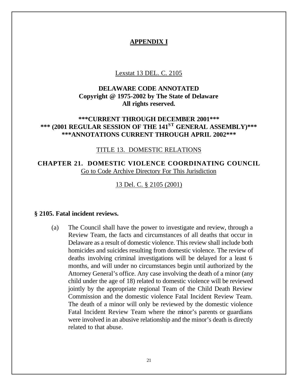#### **APPENDIX I**

#### Lexstat 13 DEL. C. 2105

### **DELAWARE CODE ANNOTATED Copyright @ 1975-2002 by The State of Delaware All rights reserved.**

### **\*\*\*CURRENT THROUGH DECEMBER 2001\*\*\* \*\*\* (2001 REGULAR SESSION OF THE 141ST GENERAL ASSEMBLY)\*\*\* \*\*\*ANNOTATIONS CURRENT THROUGH APRIL 2002\*\*\***

#### TITLE 13. DOMESTIC RELATIONS

**CHAPTER 21. DOMESTIC VIOLENCE COORDINATING COUNCIL** Go to Code Archive Directory For This Jurisdiction

13 Del. C. § 2105 (2001)

#### **§ 2105. Fatal incident reviews.**

(a) The Council shall have the power to investigate and review, through a Review Team, the facts and circumstances of all deaths that occur in Delaware as a result of domestic violence. This review shall include both homicides and suicides resulting from domestic violence. The review of deaths involving criminal investigations will be delayed for a least 6 months, and will under no circumstances begin until authorized by the Attorney General's office. Any case involving the death of a minor (any child under the age of 18) related to domestic violence will be reviewed jointly by the appropriate regional Team of the Child Death Review Commission and the domestic violence Fatal Incident Review Team. The death of a minor will only be reviewed by the domestic violence Fatal Incident Review Team where the minor's parents or guardians were involved in an abusive relationship and the minor's death is directly related to that abuse.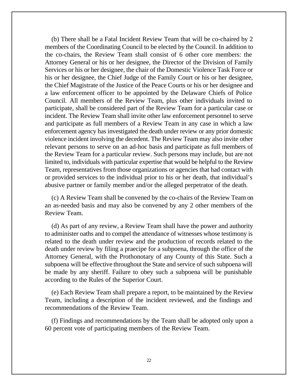(b) There shall be a Fatal Incident Review Team that will be co-chaired by 2 members of the Coordinating Council to be elected by the Council. In addition to the co-chairs, the Review Team shall consist of 6 other core members: the Attorney General or his or her designee, the Director of the Division of Family Services or his or her designee, the chair of the Domestic Violence Task Force or his or her designee, the Chief Judge of the Family Court or his or her designee, the Chief Magistrate of the Justice of the Peace Courts or his or her designee and a law enforcement officer to be appointed by the Delaware Chiefs of Police Council. All members of the Review Team, plus other individuals invited to participate, shall be considered part of the Review Team for a particular case or incident. The Review Team shall invite other law enforcement personnel to serve and participate as full members of a Review Team in any case in which a law enforcement agency has investigated the death under review or any prior domestic violence incident involving the decedent. The Review Team may also invite other relevant persons to serve on an ad-hoc basis and participate as full members of the Review Team for a particular review. Such persons may include, but are not limited to, individuals with particular expertise that would be helpful to the Review Team, representatives from those organizations or agencies that had contact with or provided services to the individual prior to his or her death, that individual's abusive partner or family member and/or the alleged perpetrator of the death.

(c) A Review Team shall be convened by the co-chairs of the Review Team on an as-needed basis and may also be convened by any 2 other members of the Review Team.

(d) As part of any review, a Review Team shall have the power and authority to administer oaths and to compel the attendance of witnesses whose testimony is related to the death under review and the production of records related to the death under review by filing a praecipe for a subpoena, through the office of the Attorney General, with the Prothonotary of any County of this State. Such a subpoena will be effective throughout the State and service of such subpoena will be made by any sheriff. Failure to obey such a subpoena will be punishable according to the Rules of the Superior Court.

(e) Each Review Team shall prepare a report, to be maintained by the Review Team, including a description of the incident reviewed, and the findings and recommendations of the Review Team.

(f) Findings and recommendations by the Team shall be adopted only upon a 60 percent vote of participating members of the Review Team.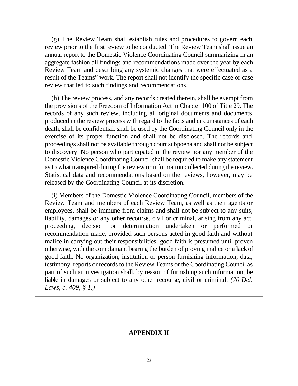(g) The Review Team shall establish rules and procedures to govern each review prior to the first review to be conducted. The Review Team shall issue an annual report to the Domestic Violence Coordinating Council summarizing in an aggregate fashion all findings and recommendations made over the year by each Review Team and describing any systemic changes that were effectuated as a result of the Teams" work. The report shall not identify the specific case or case review that led to such findings and recommendations.

(h) The review process, and any records created therein, shall be exempt from the provisions of the Freedom of Information Act in Chapter 100 of Title 29. The records of any such review, including all original documents and documents produced in the review process with regard to the facts and circumstances of each death, shall be confidential, shall be used by the Coordinating Council only in the exercise of its proper function and shall not be disclosed. The records and proceedings shall not be available through court subpoena and shall not be subject to discovery. No person who participated in the review nor any member of the Domestic Violence Coordinating Council shall be required to make any statement as to what transpired during the review or information collected during the review. Statistical data and recommendations based on the reviews, however, may be released by the Coordinating Council at its discretion.

(i) Members of the Domestic Violence Coordinating Council, members of the Review Team and members of each Review Team, as well as their agents or employees, shall be immune from claims and shall not be subject to any suits, liability, damages or any other recourse, civil or criminal, arising from any act, proceeding, decision or determination undertaken or performed or recommendation made, provided such persons acted in good faith and without malice in carrying out their responsibilities; good faith is presumed until proven otherwise, with the complainant bearing the burden of proving malice or a lack of good faith. No organization, institution or person furnishing information, data, testimony, reports or records to the Review Teams or the Coordinating Council as part of such an investigation shall, by reason of furnishing such information, be liable in damages or subject to any other recourse, civil or criminal. *(70 Del. Laws, c. 409, § 1.)*

#### **APPENDIX II**